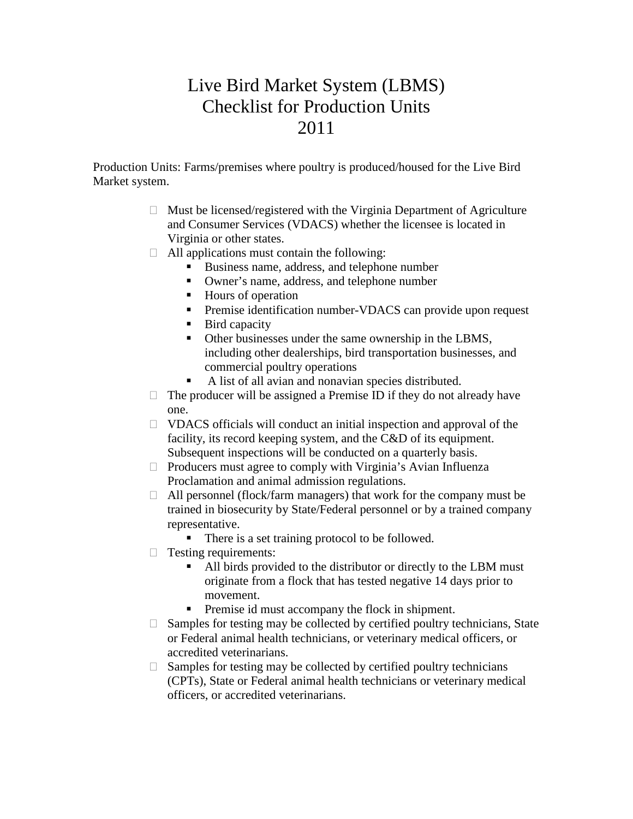## Live Bird Market System (LBMS) Checklist for Production Units 2011

Production Units: Farms/premises where poultry is produced/housed for the Live Bird Market system.

- $\Box$  Must be licensed/registered with the Virginia Department of Agriculture and Consumer Services (VDACS) whether the licensee is located in Virginia or other states.
- $\Box$  All applications must contain the following:
	- Business name, address, and telephone number
	- Owner's name, address, and telephone number
	- Hours of operation
	- Premise identification number-VDACS can provide upon request
	- **Bird capacity**
	- Other businesses under the same ownership in the LBMS, including other dealerships, bird transportation businesses, and commercial poultry operations
	- A list of all avian and nonavian species distributed.
- $\Box$  The producer will be assigned a Premise ID if they do not already have one.
- $\Box$  VDACS officials will conduct an initial inspection and approval of the facility, its record keeping system, and the C&D of its equipment. Subsequent inspections will be conducted on a quarterly basis.
- $\Box$  Producers must agree to comply with Virginia's Avian Influenza Proclamation and animal admission regulations.
- $\Box$  All personnel (flock/farm managers) that work for the company must be trained in biosecurity by State/Federal personnel or by a trained company representative.
	- There is a set training protocol to be followed.
- **Testing requirements:** 
	- All birds provided to the distributor or directly to the LBM must originate from a flock that has tested negative 14 days prior to movement.
	- **Premise id must accompany the flock in shipment.**
- $\Box$  Samples for testing may be collected by certified poultry technicians, State or Federal animal health technicians, or veterinary medical officers, or accredited veterinarians.
- $\Box$  Samples for testing may be collected by certified poultry technicians (CPTs), State or Federal animal health technicians or veterinary medical officers, or accredited veterinarians.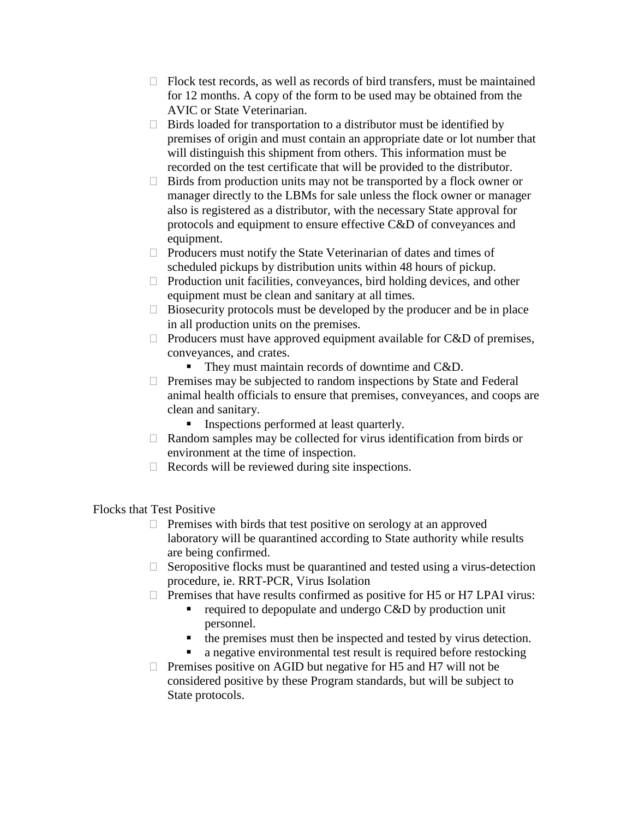- $\Box$  Flock test records, as well as records of bird transfers, must be maintained for 12 months. A copy of the form to be used may be obtained from the AVIC or State Veterinarian.
- $\Box$  Birds loaded for transportation to a distributor must be identified by premises of origin and must contain an appropriate date or lot number that will distinguish this shipment from others. This information must be recorded on the test certificate that will be provided to the distributor.
- $\Box$  Birds from production units may not be transported by a flock owner or manager directly to the LBMs for sale unless the flock owner or manager also is registered as a distributor, with the necessary State approval for protocols and equipment to ensure effective C&D of conveyances and equipment.
- $\Box$  Producers must notify the State Veterinarian of dates and times of scheduled pickups by distribution units within 48 hours of pickup.
- $\Box$  Production unit facilities, conveyances, bird holding devices, and other equipment must be clean and sanitary at all times.
- $\Box$  Biosecurity protocols must be developed by the producer and be in place in all production units on the premises.
- $\Box$  Producers must have approved equipment available for C&D of premises, conveyances, and crates.
	- They must maintain records of downtime and C&D.
- $\Box$  Premises may be subjected to random inspections by State and Federal animal health officials to ensure that premises, conveyances, and coops are clean and sanitary.
	- **Inspections performed at least quarterly.**
- $\Box$  Random samples may be collected for virus identification from birds or environment at the time of inspection.
- $\Box$  Records will be reviewed during site inspections.

## Flocks that Test Positive

- $\Box$  Premises with birds that test positive on serology at an approved laboratory will be quarantined according to State authority while results are being confirmed.
- $\Box$  Seropositive flocks must be quarantined and tested using a virus-detection procedure, ie. RRT-PCR, Virus Isolation
- $\Box$  Premises that have results confirmed as positive for H5 or H7 LPAI virus:
	- required to depopulate and undergo  $C&D$  by production unit personnel.
	- $\blacksquare$  the premises must then be inspected and tested by virus detection.
	- a negative environmental test result is required before restocking
- $\Box$  Premises positive on AGID but negative for H5 and H7 will not be considered positive by these Program standards, but will be subject to State protocols.